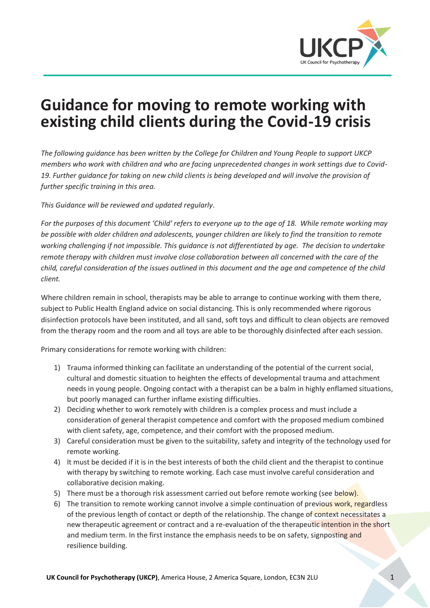

# **Guidance for moving to remote working with existing child clients during the Covid-19 crisis**

*The following guidance has been written by the College for Children and Young People to support UKCP members who work with children and who are facing unprecedented changes in work settings due to Covid-19. Further guidance for taking on new child clients is being developed and will involve the provision of further specific training in this area.* 

*This Guidance will be reviewed and updated regularly.*

*For the purposes of this document 'Child' refers to everyone up to the age of 18. While remote working may be possible with older children and adolescents, younger children are likely to find the transition to remote working challenging if not impossible. This guidance is not differentiated by age. The decision to undertake remote therapy with children must involve close collaboration between all concerned with the care of the child, careful consideration of the issues outlined in this document and the age and competence of the child client.* 

Where children remain in school, therapists may be able to arrange to continue working with them there, subject to Public Health England advice on social distancing. This is only recommended where rigorous disinfection protocols have been instituted, and all sand, soft toys and difficult to clean objects are removed from the therapy room and the room and all toys are able to be thoroughly disinfected after each session.

Primary considerations for remote working with children:

- 1) Trauma informed thinking can facilitate an understanding of the potential of the current social, cultural and domestic situation to heighten the effects of developmental trauma and attachment needs in young people. Ongoing contact with a therapist can be a balm in highly enflamed situations, but poorly managed can further inflame existing difficulties.
- 2) Deciding whether to work remotely with children is a complex process and must include a consideration of general therapist competence and comfort with the proposed medium combined with client safety, age, competence, and their comfort with the proposed medium.
- 3) Careful consideration must be given to the suitability, safety and integrity of the technology used for remote working.
- 4) It must be decided if it is in the best interests of both the child client and the therapist to continue with therapy by switching to remote working. Each case must involve careful consideration and collaborative decision making.
- 5) There must be a thorough risk assessment carried out before remote working (see below).
- 6) The transition to remote working cannot involve a simple continuation of previous work, regardless of the previous length of contact or depth of the relationship. The change of context necessitates a new therapeutic agreement or contract and a re-evaluation of the therapeutic intention in the short and medium term. In the first instance the emphasis needs to be on safety, signposting and resilience building.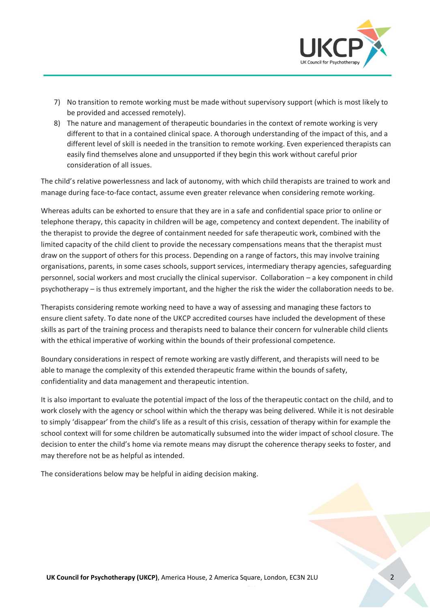

- 7) No transition to remote working must be made without supervisory support (which is most likely to be provided and accessed remotely).
- 8) The nature and management of therapeutic boundaries in the context of remote working is very different to that in a contained clinical space. A thorough understanding of the impact of this, and a different level of skill is needed in the transition to remote working. Even experienced therapists can easily find themselves alone and unsupported if they begin this work without careful prior consideration of all issues.

The child's relative powerlessness and lack of autonomy, with which child therapists are trained to work and manage during face-to-face contact, assume even greater relevance when considering remote working.

Whereas adults can be exhorted to ensure that they are in a safe and confidential space prior to online or telephone therapy, this capacity in children will be age, competency and context dependent. The inability of the therapist to provide the degree of containment needed for safe therapeutic work, combined with the limited capacity of the child client to provide the necessary compensations means that the therapist must draw on the support of others for this process. Depending on a range of factors, this may involve training organisations, parents, in some cases schools, support services, intermediary therapy agencies, safeguarding personnel, social workers and most crucially the clinical supervisor. Collaboration – a key component in child psychotherapy – is thus extremely important, and the higher the risk the wider the collaboration needs to be.

Therapists considering remote working need to have a way of assessing and managing these factors to ensure client safety. To date none of the UKCP accredited courses have included the development of these skills as part of the training process and therapists need to balance their concern for vulnerable child clients with the ethical imperative of working within the bounds of their professional competence.

Boundary considerations in respect of remote working are vastly different, and therapists will need to be able to manage the complexity of this extended therapeutic frame within the bounds of safety, confidentiality and data management and therapeutic intention.

It is also important to evaluate the potential impact of the loss of the therapeutic contact on the child, and to work closely with the agency or school within which the therapy was being delivered. While it is not desirable to simply 'disappear' from the child's life as a result of this crisis, cessation of therapy within for example the school context will for some children be automatically subsumed into the wider impact of school closure. The decision to enter the child's home via remote means may disrupt the coherence therapy seeks to foster, and may therefore not be as helpful as intended.

The considerations below may be helpful in aiding decision making.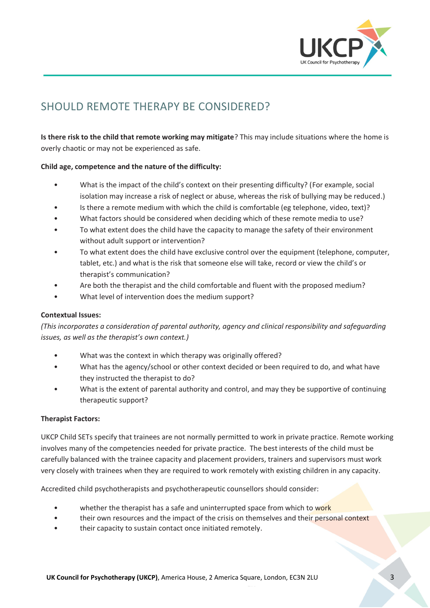

## SHOULD REMOTE THERAPY BE CONSIDERED?

**Is there risk to the child that remote working may mitigate**? This may include situations where the home is overly chaotic or may not be experienced as safe.

#### **Child age, competence and the nature of the difficulty:**

- What is the impact of the child's context on their presenting difficulty? (For example, social isolation may increase a risk of neglect or abuse, whereas the risk of bullying may be reduced.)
- Is there a remote medium with which the child is comfortable (eg telephone, video, text)?
- What factors should be considered when deciding which of these remote media to use?
- To what extent does the child have the capacity to manage the safety of their environment without adult support or intervention?
- To what extent does the child have exclusive control over the equipment (telephone, computer, tablet, etc.) and what is the risk that someone else will take, record or view the child's or therapist's communication?
- Are both the therapist and the child comfortable and fluent with the proposed medium?
- What level of intervention does the medium support?

#### **Contextual Issues:**

*(This incorporates a consideration of parental authority, agency and clinical responsibility and safeguarding issues, as well as the therapist's own context.)*

- What was the context in which therapy was originally offered?
- What has the agency/school or other context decided or been required to do, and what have they instructed the therapist to do?
- What is the extent of parental authority and control, and may they be supportive of continuing therapeutic support?

#### **Therapist Factors:**

UKCP Child SETs specify that trainees are not normally permitted to work in private practice. Remote working involves many of the competencies needed for private practice. The best interests of the child must be carefully balanced with the trainee capacity and placement providers, trainers and supervisors must work very closely with trainees when they are required to work remotely with existing children in any capacity.

Accredited child psychotherapists and psychotherapeutic counsellors should consider:

- whether the therapist has a safe and uninterrupted space from which to work
- their own resources and the impact of the crisis on themselves and their personal context
- their capacity to sustain contact once initiated remotely.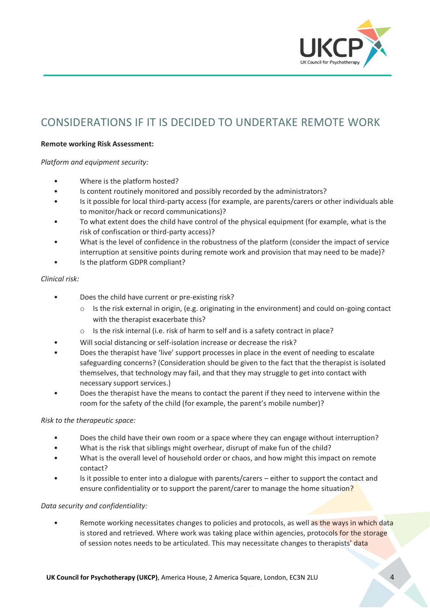

### CONSIDERATIONS IF IT IS DECIDED TO UNDERTAKE REMOTE WORK

#### **Remote working Risk Assessment:**

*Platform and equipment security:*

- Where is the platform hosted?
- Is content routinely monitored and possibly recorded by the administrators?
- Is it possible for local third-party access (for example, are parents/carers or other individuals able to monitor/hack or record communications)?
- To what extent does the child have control of the physical equipment (for example, what is the risk of confiscation or third-party access)?
- What is the level of confidence in the robustness of the platform (consider the impact of service interruption at sensitive points during remote work and provision that may need to be made)?
- Is the platform GDPR compliant?

#### *Clinical risk:*

- Does the child have current or pre-existing risk?
	- o Is the risk external in origin, (e.g. originating in the environment) and could on-going contact with the therapist exacerbate this?
	- o Is the risk internal (i.e. risk of harm to self and is a safety contract in place?
- Will social distancing or self-isolation increase or decrease the risk?
- Does the therapist have 'live' support processes in place in the event of needing to escalate safeguarding concerns? (Consideration should be given to the fact that the therapist is isolated themselves, that technology may fail, and that they may struggle to get into contact with necessary support services.)
- Does the therapist have the means to contact the parent if they need to intervene within the room for the safety of the child (for example, the parent's mobile number)?

#### *Risk to the therapeutic space:*

- Does the child have their own room or a space where they can engage without interruption?
- What is the risk that siblings might overhear, disrupt of make fun of the child?
- What is the overall level of household order or chaos, and how might this impact on remote contact?
- Is it possible to enter into a dialogue with parents/carers either to support the contact and ensure confidentiality or to support the parent/carer to manage the home situation?

#### *Data security and confidentiality:*

• Remote working necessitates changes to policies and protocols, as well as the ways in which data is stored and retrieved. Where work was taking place within agencies, protocols for the storage of session notes needs to be articulated. This may necessitate changes to therapists' data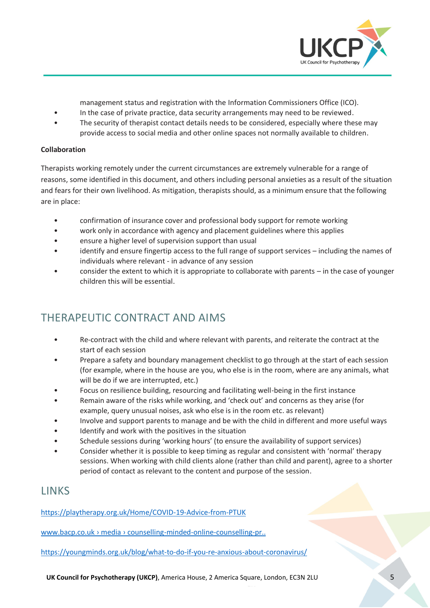

management status and registration with the Information Commissioners Office (ICO).

- In the case of private practice, data security arrangements may need to be reviewed.
- The security of therapist contact details needs to be considered, especially where these may provide access to social media and other online spaces not normally available to children.

#### **Collaboration**

Therapists working remotely under the current circumstances are extremely vulnerable for a range of reasons, some identified in this document, and others including personal anxieties as a result of the situation and fears for their own livelihood. As mitigation, therapists should, as a minimum ensure that the following are in place:

- confirmation of insurance cover and professional body support for remote working
- work only in accordance with agency and placement guidelines where this applies
- ensure a higher level of supervision support than usual
- identify and ensure fingertip access to the full range of support services including the names of individuals where relevant - in advance of any session
- consider the extent to which it is appropriate to collaborate with parents in the case of younger children this will be essential.

### THERAPEUTIC CONTRACT AND AIMS

- Re-contract with the child and where relevant with parents, and reiterate the contract at the start of each session
- Prepare a safety and boundary management checklist to go through at the start of each session (for example, where in the house are you, who else is in the room, where are any animals, what will be do if we are interrupted, etc.)
- Focus on resilience building, resourcing and facilitating well-being in the first instance
- Remain aware of the risks while working, and 'check out' and concerns as they arise (for example, query unusual noises, ask who else is in the room etc. as relevant)
- Involve and support parents to manage and be with the child in different and more useful ways
- Identify and work with the positives in the situation
- Schedule sessions during 'working hours' (to ensure the availability of support services)
- Consider whether it is possible to keep timing as regular and consistent with 'normal' therapy sessions. When working with child clients alone (rather than child and parent), agree to a shorter period of contact as relevant to the content and purpose of the session.

### LINKS

<https://playtherapy.org.uk/Home/COVID-19-Advice-from-PTUK>

www.bacp.co.uk › media › counselling-minded-online-counselling-pr..

<https://youngminds.org.uk/blog/what-to-do-if-you-re-anxious-about-coronavirus/>

**UK Council for Psychotherapy (UKCP)**, America House, 2 America Square, London, EC3N 2LU 5